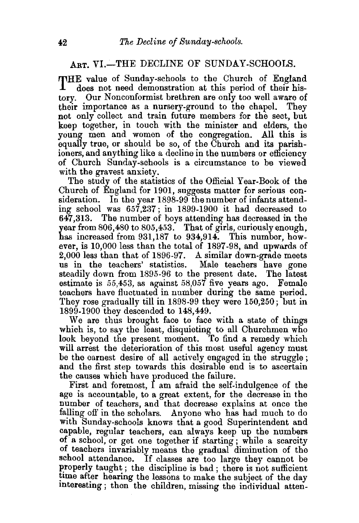## ART. VI.-THE DECLINE OF SUNDAY-SCHOOLS.

THE value of Sunday-schools to the Church of England does not need demonstration at this period of their history. Our Nonconformist brethren are only too well aware of their importance as a nursery-ground to the chapel. They not only collect and train future members for the sect, but keep together, in touch with the minister and elders, the young men and women of the congregation. All this is equally true, or should be so, of the Church and its parishioners, and anything like a decline in the numbers or efficiency of Church Sunday-schools is a circumstance to be viewed with the gravest anxiety.

The study of the statistics of the Official Year-Book of the Church of England for 1901, suggests matter for serious consideration. In the year 1898-99 the number of infants attending school was 657,237; in 1899-1900 it had decreased to 647,313. The number of boys attending has decreased in the year from  $806,480$  to  $805,453$ . That of girls, curiously enough, has increased from 931,187 to 934,914. This number, however, is 10,000 less than the total of 1897-98, and upwards of 2,000 less than that of 1896-97. A similar down-grade meets us in the teachers' statistics. Male teachers have gone steadily down from 1895-96 to the present date. The latest estimate is 55,453, as against 58,057 five years ago. Female teachers have fluctuated in number during the same period. They rose gradually till in 1898-99 they were 150,250; but in 1899-1900 they descended to 148,449.

We are thus brought face to face with a state of things which is, to say the least, disquieting to all Churchmen who look beyond the present moment. To find a remedy which will arrest the deterioration of this most useful agency must be the earnest desire of all actively engaged in the struggle ; and the first step towards this desirable end is to ascertain the causes which have produced the failure.

First and foremost, I am afraid the self-indulgence of the age is accountable, to a great extent, for the decrease in the number of teachers, and that decrease explains at once the falling off in the scholars. Anyone who has had much to do with Sunday-schools knows that a good Superintendent and capable, regular teachers, can always keep up the numbers of a school, or get one together if starting ; while a scarcity of teachers invariably means the gradual diminution of the school attendance. If classes are too large they cannot be properly taught; the discipline is bad; there is not sufficient time after hearing the lessons to make the subject of the day interesting; then the children, missing the individual atten-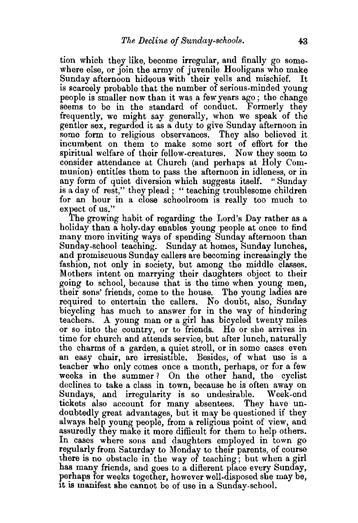tion which they like, become irregular, and finally go somewhere else, or join the army of juvenile Hooligans who make Sunday afternoon hideous with their yells and mischief. is scarcely probable that the number of serious-minded young people is smaller now than it was a few years ago ; the change seems to be in the standard of conduct. Formerly they frequently, we might say generally, when we speak of the gentler sex, regarded it as a duty to give Sunday afternoon in some form to religious observances. They also believed it incumbent on them to make some sort of effort for the spiritual welfare of their fellow-creatures. Now they seem to consider attendance at Church (and perhaps at Holy Communion) entitles them to pass the afternoon in idleness, or in any form of quiet diversion which suggests itself. " Sunday is a day of rest," they plead ; " teaching troublesome children for an hour in a close schoolroom is really too much to expect of us."

The growing habit of regarding the Lord's Day rather as a holiday than a holy-day enables young people at once to find many more inviting ways of spending Sunday afternoon than Sunday-school teaching. Sunday at homes, Sunday lunches, and promiscuous Sunday callers are becoming increasingly the fashion, not only in society, but among the middle classes. Mothers intent on marrying their daughters object to their going to school, because that is the time when young men, their sons' friends, come to the house. The young ladies are required to entertain the callers. No doubt, also, Sunday bicycling has much to answer for in the way of hindering teachers. A young man or a girl has bicycled twenty miles or so into the country, or to friends. He or she arrives in time for church and attends service, but after lunch, naturally the charms of a garden, a quiet stroll, or in some cases even an easy chair, are irresistible. Besides, of what use is a teacher who only comes once a month, perhaps, or for a few weeks in the summer ? On the other hand, the cyclist declines to take a class in town, because he is often away on Sundays, and irregularity is so undesirable. Week-end tickets also account for many absentees. They have undoubtedly great advantages, but it may be questioned if they always help young people, from a religious point of view, and assuredly they make it more difficult for them to help others. In cases where sons and daughters employed in town go regularly from Saturday to Monday to their parents, of course there is no obstacle in the way of teaching; but when a girl has many friends, and goes to a different place every Sunday, perhaps for weeks together, however well-disposed she may be, It is manifest she cannot be of use in a Sunday-school.